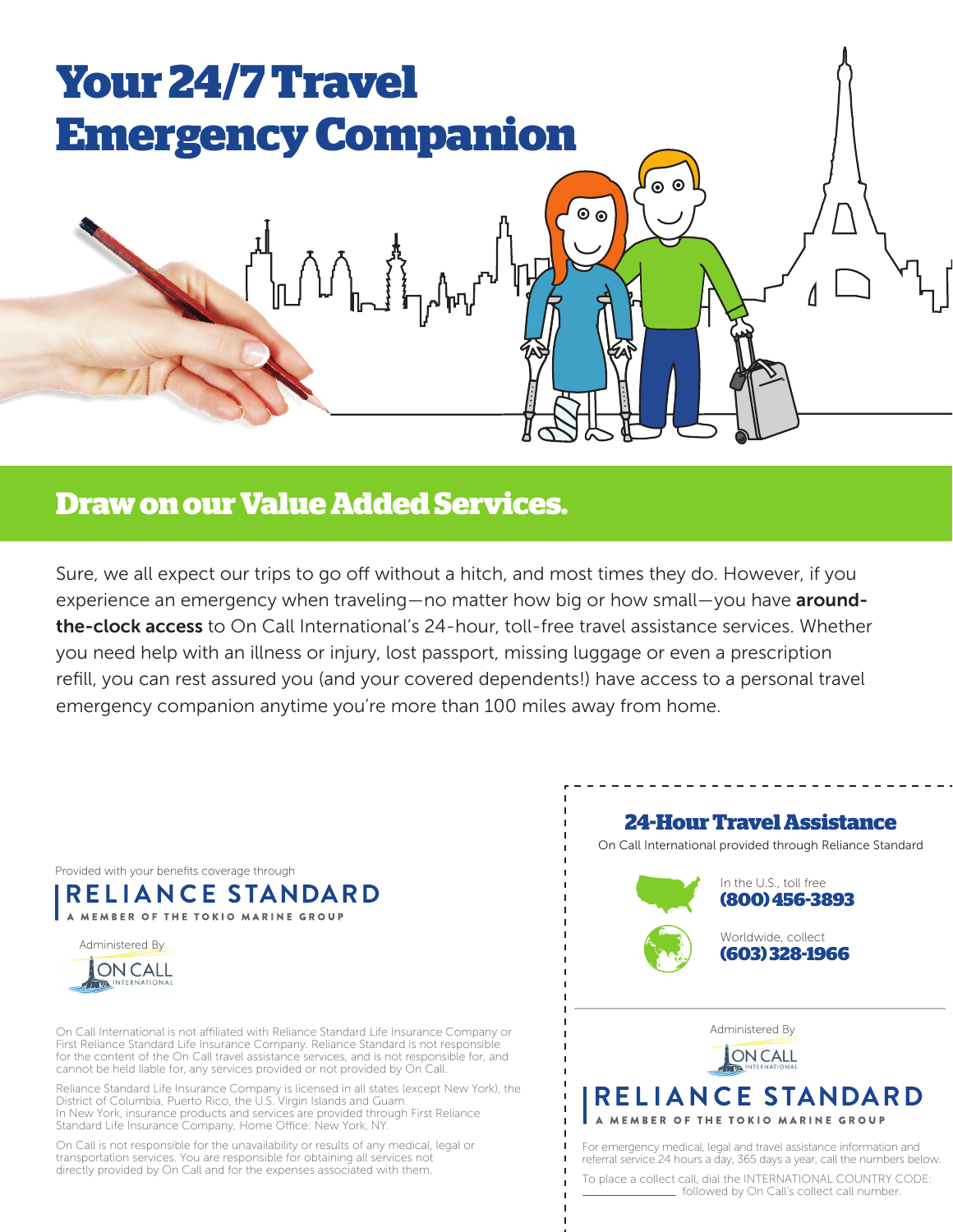

# **Draw on our Value Added Services.**

Sure, we all expect our trips to go off without a hitch, and most times they do. However, if you experience an emergency when traveling—no matter how big or how small—you have aroundthe-clock access to On Call International's 24-hour, toll-free travel assistance services. Whether you need help with an illness or injury, lost passport, missing luggage or even a prescription refill, you can rest assured you (and your covered dependents!) have access to a personal travel emergency companion anytime you're more than 100 miles away from home.

Provided with your benefits coverage through

RELIANCE STANDARD A MEMBER OF THE TOKIO MARINE GROUP



On Call International is not affiliated with Reliance Standard Life Insurance Company or First Reliance Standard Life Insurance Company. Reliance Standard is not responsible for the content of the On Call travel assistance services, and is not responsible for, and cannot be held liable for, any services provided or not provided by On Call.

Reliance Standard Life Insurance Company is licensed in all states (except New York), the District of Columbia, Puerto Rico, the U.S. Virgin Islands and Guam. In New York, insurance products and services are provided through First Reliance Standard Life Insurance Company, Home Office: New York, NY.

On Call is not responsible for the unavailability or results of any medical, legal or transportation services. You are responsible for obtaining all services not directly provided by On Call and for the expenses associated with them.



To place a collect call, dial the INTERNATIONAL COUNTRY CODE: followed by On Call's collect call number.